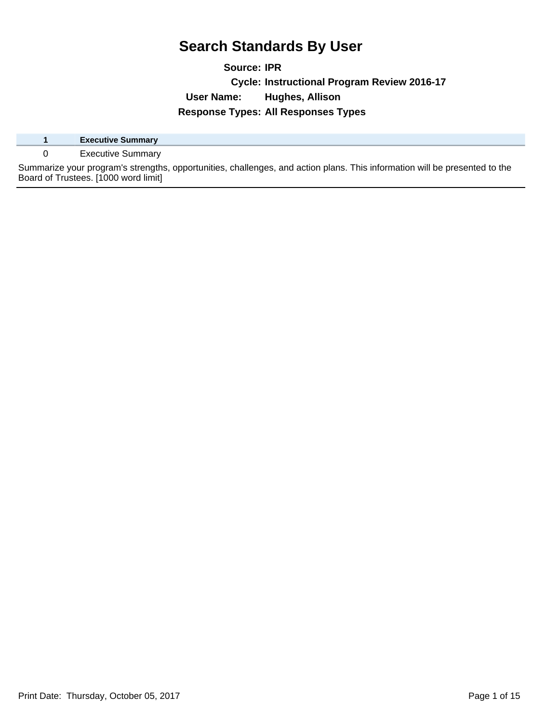**Source: IPR Cycle: Instructional Program Review 2016-17 User Name: Hughes, Allison Response Types: All Responses Types**

|  | <b>Executive Summary</b>                                                                                                   |
|--|----------------------------------------------------------------------------------------------------------------------------|
|  | <b>Executive Summary</b>                                                                                                   |
|  | Summarize your program's strengths, opportunities, challenges, and action plans. This information will be presented to the |
|  | Board of Trustees. [1000 word limit]                                                                                       |

Print Date: Thursday, October 05, 2017 and the contract of the Page 1 of 15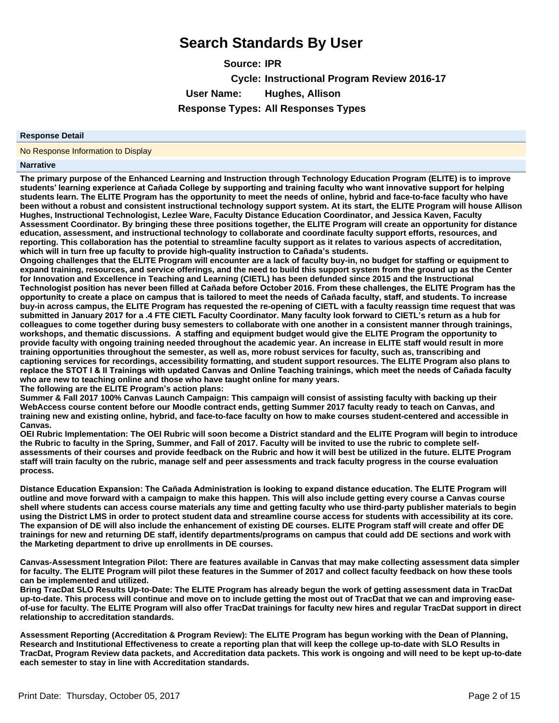**Source: IPR Cycle: Instructional Program Review 2016-17 User Name: Hughes, Allison Response Types: All Responses Types**

#### **Response Detail**

No Response Information to Display

#### **Narrative**

**The primary purpose of the Enhanced Learning and Instruction through Technology Education Program (ELITE) is to improve**  students' learning experience at Cañada College by supporting and training faculty who want innovative support for helping **students learn. The ELITE Program has the opportunity to meet the needs of online, hybrid and face-to-face faculty who have been without a robust and consistent instructional technology support system. At its start, the ELITE Program will house Allison Hughes, Instructional Technologist, Lezlee Ware, Faculty Distance Education Coordinator, and Jessica Kaven, Faculty Assessment Coordinator. By bringing these three positions together, the ELITE Program will create an opportunity for distance education, assessment, and instructional technology to collaborate and coordinate faculty support efforts, resources, and reporting. This collaboration has the potential to streamline faculty support as it relates to various aspects of accreditation,**  which will in turn free up faculty to provide high-quality instruction to Cañada's students.

**Ongoing challenges that the ELITE Program will encounter are a lack of faculty buy-in, no budget for staffing or equipment to expand training, resources, and service offerings, and the need to build this support system from the ground up as the Center for Innovation and Excellence in Teaching and Learning (CIETL) has been defunded since 2015 and the Instructional**  Technologist position has never been filled at Cañada before October 2016. From these challenges, the ELITE Program has the opportunity to create a place on campus that is tailored to meet the needs of Cañada faculty, staff, and students. To increase **buy-in across campus, the ELITE Program has requested the re-opening of CIETL with a faculty reassign time request that was submitted in January 2017 for a .4 FTE CIETL Faculty Coordinator. Many faculty look forward to CIETL¶s return as a hub for colleagues to come together during busy semesters to collaborate with one another in a consistent manner through trainings, workshops, and thematic discussions. A staffing and equipment budget would give the ELITE Program the opportunity to provide faculty with ongoing training needed throughout the academic year. An increase in ELITE staff would result in more training opportunities throughout the semester, as well as, more robust services for faculty, such as, transcribing and captioning services for recordings, accessibility formatting, and student support resources. The ELITE Program also plans to**  replace the STOT I & II Trainings with updated Canvas and Online Teaching trainings, which meet the needs of Cañada faculty **who are new to teaching online and those who have taught online for many years.**

**The following are the ELITE Program¶s action plans:**

**Summer & Fall 2017 100% Canvas Launch Campaign: This campaign will consist of assisting faculty with backing up their WebAccess course content before our Moodle contract ends, getting Summer 2017 faculty ready to teach on Canvas, and training new and existing online, hybrid, and face-to-face faculty on how to make courses student-centered and accessible in Canvas.**

**OEI Rubric Implementation: The OEI Rubric will soon become a District standard and the ELITE Program will begin to introduce the Rubric to faculty in the Spring, Summer, and Fall of 2017. Faculty will be invited to use the rubric to complete selfassessments of their courses and provide feedback on the Rubric and how it will best be utilized in the future. ELITE Program staff will train faculty on the rubric, manage self and peer assessments and track faculty progress in the course evaluation process.**

Distance Education Expansion: The Cañada Administration is looking to expand distance education. The ELITE Program will **outline and move forward with a campaign to make this happen. This will also include getting every course a Canvas course shell where students can access course materials any time and getting faculty who use third-party publisher materials to begin using the District LMS in order to protect student data and streamline course access for students with accessibility at its core. The expansion of DE will also include the enhancement of existing DE courses. ELITE Program staff will create and offer DE trainings for new and returning DE staff, identify departments/programs on campus that could add DE sections and work with the Marketing department to drive up enrollments in DE courses.**

**Canvas-Assessment Integration Pilot: There are features available in Canvas that may make collecting assessment data simpler for faculty. The ELITE Program will pilot these features in the Summer of 2017 and collect faculty feedback on how these tools can be implemented and utilized.**

**Bring TracDat SLO Results Up-to-Date: The ELITE Program has already begun the work of getting assessment data in TracDat up-to-date. This process will continue and move on to include getting the most out of TracDat that we can and improving easeof-use for faculty. The ELITE Program will also offer TracDat trainings for faculty new hires and regular TracDat support in direct relationship to accreditation standards.**

**Assessment Reporting (Accreditation & Program Review): The ELITE Program has begun working with the Dean of Planning, Research and Institutional Effectiveness to create a reporting plan that will keep the college up-to-date with SLO Results in TracDat, Program Review data packets, and Accreditation data packets. This work is ongoing and will need to be kept up-to-date each semester to stay in line with Accreditation standards.**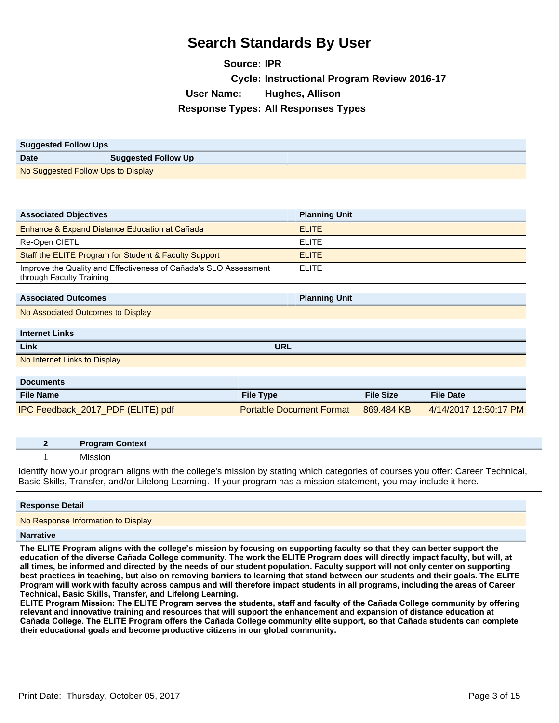**Source: IPR Cycle: Instructional Program Review 2016-17 User Name: Hughes, Allison Response Types: All Responses Types**

| <b>Suggested Follow Ups</b>        |                            |
|------------------------------------|----------------------------|
| <b>Date</b>                        | <b>Suggested Follow Up</b> |
| No Suggested Follow Ups to Display |                            |

| <b>Associated Objectives</b>                                                                 | <b>Planning Unit</b>            |                  |                       |
|----------------------------------------------------------------------------------------------|---------------------------------|------------------|-----------------------|
| Enhance & Expand Distance Education at Cañada                                                | <b>ELITE</b>                    |                  |                       |
| Re-Open CIETL                                                                                | <b>ELITE</b>                    |                  |                       |
| Staff the ELITE Program for Student & Faculty Support                                        | <b>ELITE</b>                    |                  |                       |
| Improve the Quality and Effectiveness of Cañada's SLO Assessment<br>through Faculty Training | <b>ELITE</b>                    |                  |                       |
|                                                                                              |                                 |                  |                       |
| <b>Associated Outcomes</b>                                                                   | <b>Planning Unit</b>            |                  |                       |
| No Associated Outcomes to Display                                                            |                                 |                  |                       |
|                                                                                              |                                 |                  |                       |
| <b>Internet Links</b>                                                                        |                                 |                  |                       |
| Link                                                                                         | <b>URL</b>                      |                  |                       |
| No Internet Links to Display                                                                 |                                 |                  |                       |
|                                                                                              |                                 |                  |                       |
| <b>Documents</b>                                                                             |                                 |                  |                       |
| <b>File Name</b>                                                                             | <b>File Type</b>                | <b>File Size</b> | <b>File Date</b>      |
| IPC Feedback_2017_PDF (ELITE).pdf                                                            | <b>Portable Document Format</b> | 869.484 KB       | 4/14/2017 12:50:17 PM |

| <b>Program Context</b>                                                                                                          |
|---------------------------------------------------------------------------------------------------------------------------------|
| Mission                                                                                                                         |
| Identify how your program aligns with the college's mission by stating which categories of courses you offer: Career Technical, |

Basic Skills, Transfer, and/or Lifelong Learning. If your program has a mission statement, you may include it here.

#### **Response Detail**

No Response Information to Display

#### **Narrative**

**The ELITE Program aligns with the college¶s mission by focusing on supporting faculty so that they can better support the**  education of the diverse Cañada College community. The work the ELITE Program does will directly impact faculty, but will, at **all times, be informed and directed by the needs of our student population. Faculty support will not only center on supporting best practices in teaching, but also on removing barriers to learning that stand between our students and their goals. The ELITE Program will work with faculty across campus and will therefore impact students in all programs, including the areas of Career Technical, Basic Skills, Transfer, and Lifelong Learning.**

ELITE Program Mission: The ELITE Program serves the students, staff and faculty of the Cañada College community by offering **relevant and innovative training and resources that will support the enhancement and expansion of distance education at**  Cañada College. The ELITE Program offers the Cañada College community elite support, so that Cañada students can complete **their educational goals and become productive citizens in our global community.**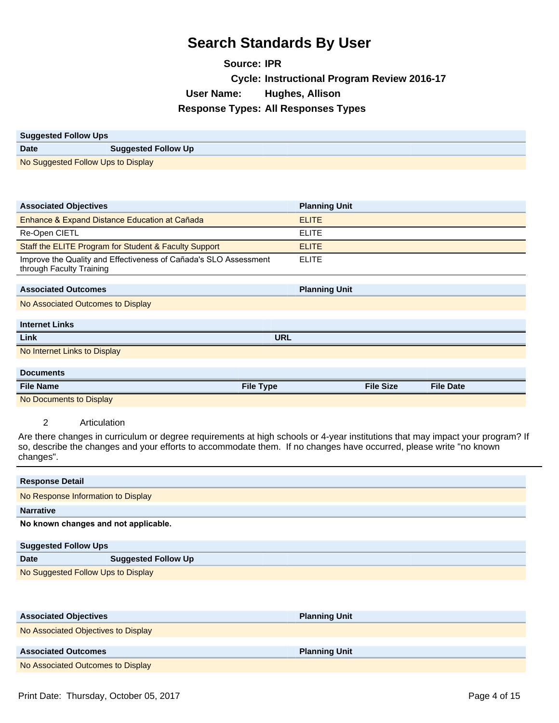**Source: IPR Cycle: Instructional Program Review 2016-17 User Name: Hughes, Allison Response Types: All Responses Types**

| <b>Suggested Follow Ups</b>        |                            |
|------------------------------------|----------------------------|
| <b>Date</b>                        | <b>Suggested Follow Up</b> |
| No Suggested Follow Ups to Display |                            |

| <b>Associated Objectives</b>                                                                 | <b>Planning Unit</b> |                  |                  |
|----------------------------------------------------------------------------------------------|----------------------|------------------|------------------|
| Enhance & Expand Distance Education at Cañada                                                | <b>ELITE</b>         |                  |                  |
| Re-Open CIETL                                                                                | <b>ELITE</b>         |                  |                  |
| Staff the ELITE Program for Student & Faculty Support                                        | <b>ELITE</b>         |                  |                  |
| Improve the Quality and Effectiveness of Cañada's SLO Assessment<br>through Faculty Training | <b>ELITE</b>         |                  |                  |
|                                                                                              |                      |                  |                  |
| <b>Associated Outcomes</b>                                                                   | <b>Planning Unit</b> |                  |                  |
| No Associated Outcomes to Display                                                            |                      |                  |                  |
|                                                                                              |                      |                  |                  |
| <b>Internet Links</b>                                                                        |                      |                  |                  |
| Link                                                                                         | <b>URL</b>           |                  |                  |
| No Internet Links to Display                                                                 |                      |                  |                  |
|                                                                                              |                      |                  |                  |
| <b>Documents</b>                                                                             |                      |                  |                  |
| <b>File Name</b>                                                                             | <b>File Type</b>     | <b>File Size</b> | <b>File Date</b> |
| No Documents to Display                                                                      |                      |                  |                  |

2 Articulation

Are there changes in curriculum or degree requirements at high schools or 4-year institutions that may impact your program? If so, describe the changes and your efforts to accommodate them. If no changes have occurred, please write "no known changes".

| <b>Response Detail</b>             |                                      |  |  |
|------------------------------------|--------------------------------------|--|--|
|                                    | No Response Information to Display   |  |  |
| <b>Narrative</b>                   |                                      |  |  |
|                                    | No known changes and not applicable. |  |  |
| <b>Suggested Follow Ups</b>        |                                      |  |  |
| <b>Date</b>                        | <b>Suggested Follow Up</b>           |  |  |
| No Suggested Follow Ups to Display |                                      |  |  |

| <b>Associated Objectives</b>        | <b>Planning Unit</b> |
|-------------------------------------|----------------------|
| No Associated Objectives to Display |                      |
|                                     |                      |
| <b>Associated Outcomes</b>          | <b>Planning Unit</b> |
| No Associated Outcomes to Display   |                      |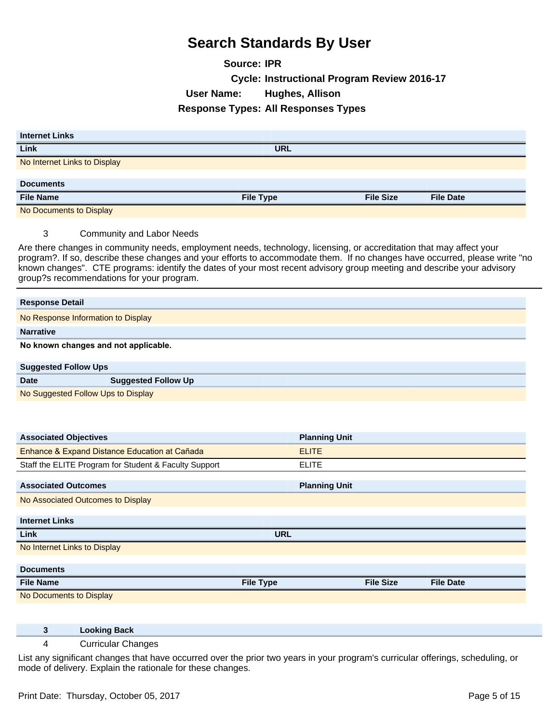**Source: IPR Cycle: Instructional Program Review 2016-17 User Name: Hughes, Allison Response Types: All Responses Types**

| <b>Internet Links</b>        |                  |                  |                  |
|------------------------------|------------------|------------------|------------------|
| Link                         | <b>URL</b>       |                  |                  |
| No Internet Links to Display |                  |                  |                  |
|                              |                  |                  |                  |
| <b>Documents</b>             |                  |                  |                  |
| <b>File Name</b>             | <b>File Type</b> | <b>File Size</b> | <b>File Date</b> |
| No Documents to Display      |                  |                  |                  |

3 Community and Labor Needs

Are there changes in community needs, employment needs, technology, licensing, or accreditation that may affect your program?. If so, describe these changes and your efforts to accommodate them. If no changes have occurred, please write "no known changes". CTE programs: identify the dates of your most recent advisory group meeting and describe your advisory group?s recommendations for your program.

| <b>Response Detail</b>                    |                                      |  |  |
|-------------------------------------------|--------------------------------------|--|--|
|                                           | No Response Information to Display   |  |  |
| <b>Narrative</b>                          |                                      |  |  |
|                                           | No known changes and not applicable. |  |  |
| <b>Suggested Follow Ups</b>               |                                      |  |  |
| <b>Date</b><br><b>Suggested Follow Up</b> |                                      |  |  |
|                                           | No Suggested Follow Ups to Display   |  |  |

| <b>Associated Objectives</b>                          | <b>Planning Unit</b> |                  |                  |
|-------------------------------------------------------|----------------------|------------------|------------------|
| Enhance & Expand Distance Education at Cañada         | <b>ELITE</b>         |                  |                  |
| Staff the ELITE Program for Student & Faculty Support | <b>ELITE</b>         |                  |                  |
| <b>Associated Outcomes</b>                            | <b>Planning Unit</b> |                  |                  |
| No Associated Outcomes to Display                     |                      |                  |                  |
| <b>Internet Links</b>                                 |                      |                  |                  |
| Link                                                  | <b>URL</b>           |                  |                  |
| No Internet Links to Display                          |                      |                  |                  |
| <b>Documents</b>                                      |                      |                  |                  |
| <b>File Name</b>                                      | <b>File Type</b>     | <b>File Size</b> | <b>File Date</b> |
| No Documents to Display                               |                      |                  |                  |

| <b>Looking Back</b> |
|---------------------|
|---------------------|

#### 4 Curricular Changes

List any significant changes that have occurred over the prior two years in your program's curricular offerings, scheduling, or mode of delivery. Explain the rationale for these changes.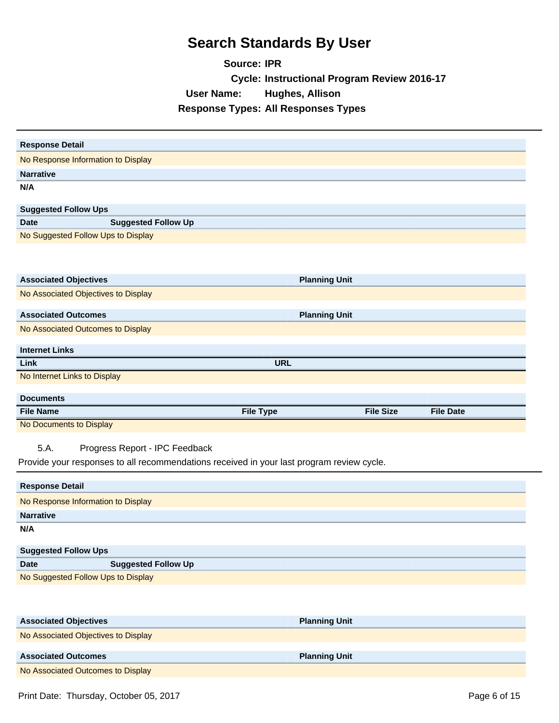**Source: IPR Cycle: Instructional Program Review 2016-17 User Name: Hughes, Allison Response Types: All Responses Types**

| <b>Response Detail</b>                                                                    |                      |                  |                  |
|-------------------------------------------------------------------------------------------|----------------------|------------------|------------------|
| No Response Information to Display                                                        |                      |                  |                  |
| <b>Narrative</b>                                                                          |                      |                  |                  |
| N/A                                                                                       |                      |                  |                  |
|                                                                                           |                      |                  |                  |
| <b>Suggested Follow Ups</b>                                                               |                      |                  |                  |
| <b>Suggested Follow Up</b><br><b>Date</b>                                                 |                      |                  |                  |
| No Suggested Follow Ups to Display                                                        |                      |                  |                  |
|                                                                                           |                      |                  |                  |
|                                                                                           |                      |                  |                  |
| <b>Associated Objectives</b>                                                              | <b>Planning Unit</b> |                  |                  |
| No Associated Objectives to Display                                                       |                      |                  |                  |
| <b>Associated Outcomes</b>                                                                |                      |                  |                  |
|                                                                                           | <b>Planning Unit</b> |                  |                  |
| No Associated Outcomes to Display                                                         |                      |                  |                  |
| <b>Internet Links</b>                                                                     |                      |                  |                  |
| Link                                                                                      | <b>URL</b>           |                  |                  |
| No Internet Links to Display                                                              |                      |                  |                  |
| <b>Documents</b>                                                                          |                      |                  |                  |
|                                                                                           |                      |                  |                  |
|                                                                                           |                      |                  |                  |
| <b>File Name</b>                                                                          | <b>File Type</b>     | <b>File Size</b> | <b>File Date</b> |
| No Documents to Display                                                                   |                      |                  |                  |
| 5.A.<br>Progress Report - IPC Feedback                                                    |                      |                  |                  |
| Provide your responses to all recommendations received in your last program review cycle. |                      |                  |                  |
|                                                                                           |                      |                  |                  |
| <b>Response Detail</b>                                                                    |                      |                  |                  |
| No Response Information to Display                                                        |                      |                  |                  |
| <b>Narrative</b>                                                                          |                      |                  |                  |
| N/A                                                                                       |                      |                  |                  |
|                                                                                           |                      |                  |                  |
| <b>Suggested Follow Ups</b><br><b>Date</b>                                                |                      |                  |                  |
| <b>Suggested Follow Up</b><br>No Suggested Follow Ups to Display                          |                      |                  |                  |
|                                                                                           |                      |                  |                  |
|                                                                                           |                      |                  |                  |
|                                                                                           |                      |                  |                  |
| <b>Associated Objectives</b>                                                              | <b>Planning Unit</b> |                  |                  |
| No Associated Objectives to Display                                                       |                      |                  |                  |
| <b>Associated Outcomes</b><br>No Associated Outcomes to Display                           | <b>Planning Unit</b> |                  |                  |

Print Date: Thursday, October 05, 2017 and the contract of the contract of the Page 6 of 15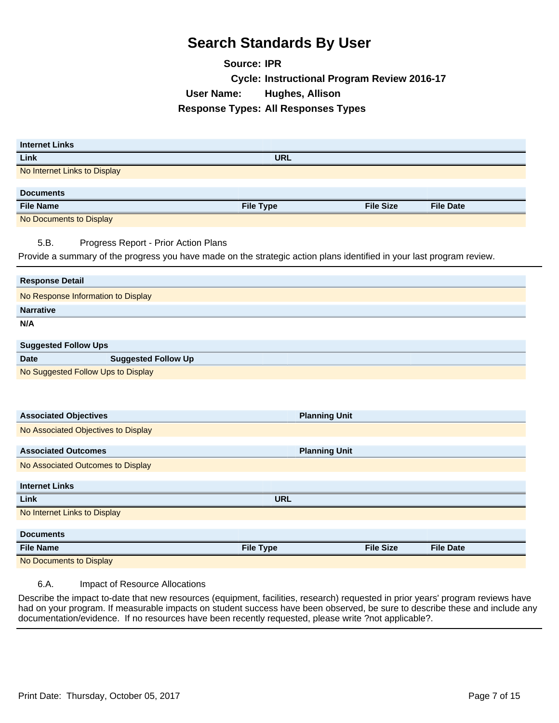**Source: IPR Cycle: Instructional Program Review 2016-17 User Name: Hughes, Allison Response Types: All Responses Types**

| <b>Internet Links</b>                                                                                                 |                      |                  |                  |
|-----------------------------------------------------------------------------------------------------------------------|----------------------|------------------|------------------|
| Link                                                                                                                  | <b>URL</b>           |                  |                  |
| No Internet Links to Display                                                                                          |                      |                  |                  |
| <b>Documents</b>                                                                                                      |                      |                  |                  |
| <b>File Name</b>                                                                                                      | <b>File Type</b>     | <b>File Size</b> | <b>File Date</b> |
|                                                                                                                       |                      |                  |                  |
| No Documents to Display                                                                                               |                      |                  |                  |
| 5.B.<br>Progress Report - Prior Action Plans                                                                          |                      |                  |                  |
| Provide a summary of the progress you have made on the strategic action plans identified in your last program review. |                      |                  |                  |
|                                                                                                                       |                      |                  |                  |
| <b>Response Detail</b>                                                                                                |                      |                  |                  |
| No Response Information to Display                                                                                    |                      |                  |                  |
| <b>Narrative</b>                                                                                                      |                      |                  |                  |
| N/A                                                                                                                   |                      |                  |                  |
|                                                                                                                       |                      |                  |                  |
| <b>Suggested Follow Ups</b>                                                                                           |                      |                  |                  |
| <b>Suggested Follow Up</b><br><b>Date</b>                                                                             |                      |                  |                  |
| No Suggested Follow Ups to Display                                                                                    |                      |                  |                  |
|                                                                                                                       |                      |                  |                  |
|                                                                                                                       |                      |                  |                  |
| <b>Associated Objectives</b>                                                                                          | <b>Planning Unit</b> |                  |                  |
| No Associated Objectives to Display                                                                                   |                      |                  |                  |
|                                                                                                                       |                      |                  |                  |
| <b>Associated Outcomes</b>                                                                                            | <b>Planning Unit</b> |                  |                  |
| No Associated Outcomes to Display                                                                                     |                      |                  |                  |
| <b>Internet Links</b>                                                                                                 |                      |                  |                  |
| Link                                                                                                                  | <b>URL</b>           |                  |                  |
| No Internet Links to Display                                                                                          |                      |                  |                  |
|                                                                                                                       |                      |                  |                  |
| <b>Documents</b>                                                                                                      |                      |                  |                  |
| <b>File Name</b>                                                                                                      | <b>File Type</b>     | <b>File Size</b> | <b>File Date</b> |
| No Documents to Display                                                                                               |                      |                  |                  |
|                                                                                                                       |                      |                  |                  |

6.A. Impact of Resource Allocations

Describe the impact to-date that new resources (equipment, facilities, research) requested in prior years' program reviews have had on your program. If measurable impacts on student success have been observed, be sure to describe these and include any documentation/evidence. If no resources have been recently requested, please write ?not applicable?.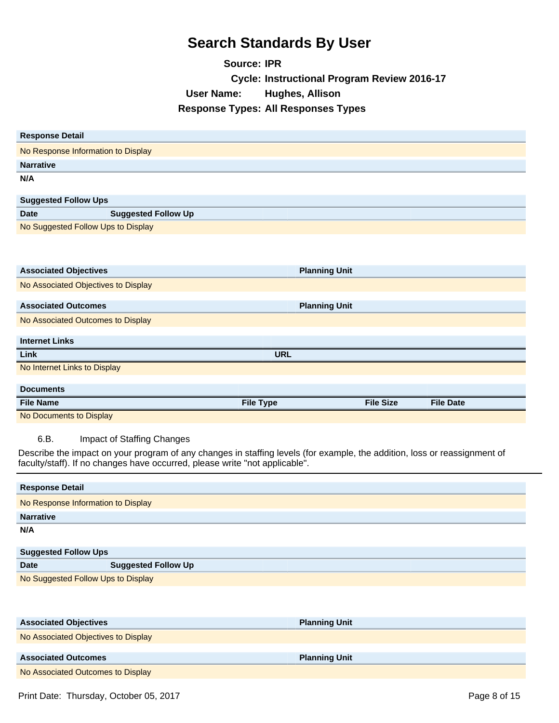**Source: IPR Cycle: Instructional Program Review 2016-17 User Name: Hughes, Allison Response Types: All Responses Types**

| <b>Response Detail</b>                                                                                                    |                      |                  |                  |
|---------------------------------------------------------------------------------------------------------------------------|----------------------|------------------|------------------|
| No Response Information to Display                                                                                        |                      |                  |                  |
| <b>Narrative</b>                                                                                                          |                      |                  |                  |
| N/A                                                                                                                       |                      |                  |                  |
|                                                                                                                           |                      |                  |                  |
| <b>Suggested Follow Ups</b>                                                                                               |                      |                  |                  |
| <b>Date</b><br><b>Suggested Follow Up</b>                                                                                 |                      |                  |                  |
| No Suggested Follow Ups to Display                                                                                        |                      |                  |                  |
|                                                                                                                           |                      |                  |                  |
|                                                                                                                           |                      |                  |                  |
| <b>Associated Objectives</b>                                                                                              | <b>Planning Unit</b> |                  |                  |
| No Associated Objectives to Display                                                                                       |                      |                  |                  |
| <b>Associated Outcomes</b>                                                                                                | <b>Planning Unit</b> |                  |                  |
| No Associated Outcomes to Display                                                                                         |                      |                  |                  |
|                                                                                                                           |                      |                  |                  |
| <b>Internet Links</b>                                                                                                     |                      |                  |                  |
| Link                                                                                                                      | <b>URL</b>           |                  |                  |
| No Internet Links to Display                                                                                              |                      |                  |                  |
| <b>Documents</b>                                                                                                          |                      |                  |                  |
| <b>File Name</b>                                                                                                          | <b>File Type</b>     | <b>File Size</b> | <b>File Date</b> |
| No Documents to Display                                                                                                   |                      |                  |                  |
|                                                                                                                           |                      |                  |                  |
| 6.B.<br>Impact of Staffing Changes                                                                                        |                      |                  |                  |
| Describe the impact on your program of any changes in staffing levels (for example, the addition, loss or reassignment of |                      |                  |                  |
| faculty/staff). If no changes have occurred, please write "not applicable".                                               |                      |                  |                  |
| <b>Response Detail</b>                                                                                                    |                      |                  |                  |
| No Response Information to Display                                                                                        |                      |                  |                  |
| <b>Narrative</b>                                                                                                          |                      |                  |                  |
| N/A                                                                                                                       |                      |                  |                  |
|                                                                                                                           |                      |                  |                  |
| <b>Suggested Follow Ups</b>                                                                                               |                      |                  |                  |
| <b>Suggested Follow Up</b><br><b>Date</b><br>No Suggested Follow Ups to Display                                           |                      |                  |                  |
|                                                                                                                           |                      |                  |                  |
|                                                                                                                           |                      |                  |                  |
|                                                                                                                           |                      |                  |                  |
| <b>Associated Objectives</b>                                                                                              |                      |                  |                  |
|                                                                                                                           | <b>Planning Unit</b> |                  |                  |
| No Associated Objectives to Display                                                                                       |                      |                  |                  |
| <b>Associated Outcomes</b>                                                                                                | <b>Planning Unit</b> |                  |                  |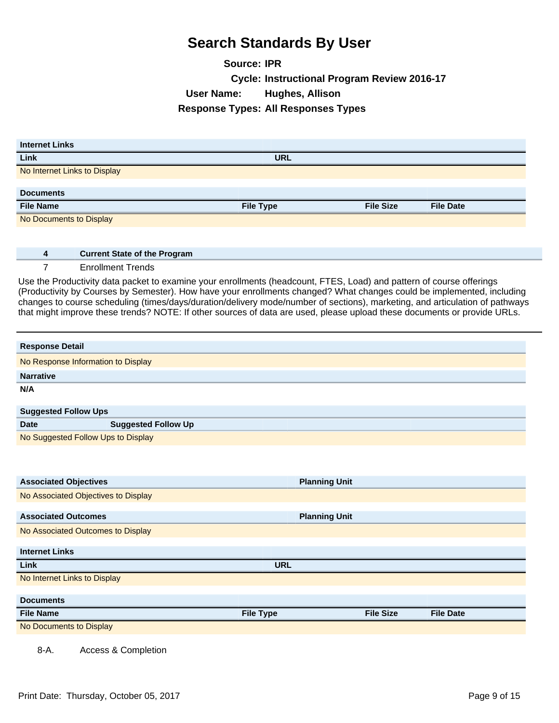**Source: IPR Cycle: Instructional Program Review 2016-17 User Name: Hughes, Allison Response Types: All Responses Types**

| <b>Internet Links</b>        |                  |                  |                  |
|------------------------------|------------------|------------------|------------------|
| Link                         | <b>URL</b>       |                  |                  |
| No Internet Links to Display |                  |                  |                  |
|                              |                  |                  |                  |
| <b>Documents</b>             |                  |                  |                  |
| <b>File Name</b>             | <b>File Type</b> | <b>File Size</b> | <b>File Date</b> |
| No Documents to Display      |                  |                  |                  |

**4 Current State of the Program**

7 Enrollment Trends

Use the Productivity data packet to examine your enrollments (headcount, FTES, Load) and pattern of course offerings (Productivity by Courses by Semester). How have your enrollments changed? What changes could be implemented, including changes to course scheduling (times/days/duration/delivery mode/number of sections), marketing, and articulation of pathways that might improve these trends? NOTE: If other sources of data are used, please upload these documents or provide URLs.

| <b>Response Detail</b>             |                            |
|------------------------------------|----------------------------|
| No Response Information to Display |                            |
| <b>Narrative</b>                   |                            |
| N/A                                |                            |
|                                    |                            |
| <b>Suggested Follow Ups</b>        |                            |
| Dota                               | <b>Cunnocted Follow Up</b> |

| Suggested Follow Ups               |                            |
|------------------------------------|----------------------------|
| <b>Date</b>                        | <b>Suggested Follow Up</b> |
| No Suggested Follow Ups to Display |                            |

| <b>Associated Objectives</b>        | <b>Planning Unit</b> |                  |                  |
|-------------------------------------|----------------------|------------------|------------------|
| No Associated Objectives to Display |                      |                  |                  |
|                                     |                      |                  |                  |
| <b>Associated Outcomes</b>          | <b>Planning Unit</b> |                  |                  |
| No Associated Outcomes to Display   |                      |                  |                  |
|                                     |                      |                  |                  |
| <b>Internet Links</b>               |                      |                  |                  |
| Link                                | <b>URL</b>           |                  |                  |
| No Internet Links to Display        |                      |                  |                  |
|                                     |                      |                  |                  |
| <b>Documents</b>                    |                      |                  |                  |
| <b>File Name</b>                    | <b>File Type</b>     | <b>File Size</b> | <b>File Date</b> |
| No Documents to Display             |                      |                  |                  |
|                                     |                      |                  |                  |

8-A. Access & Completion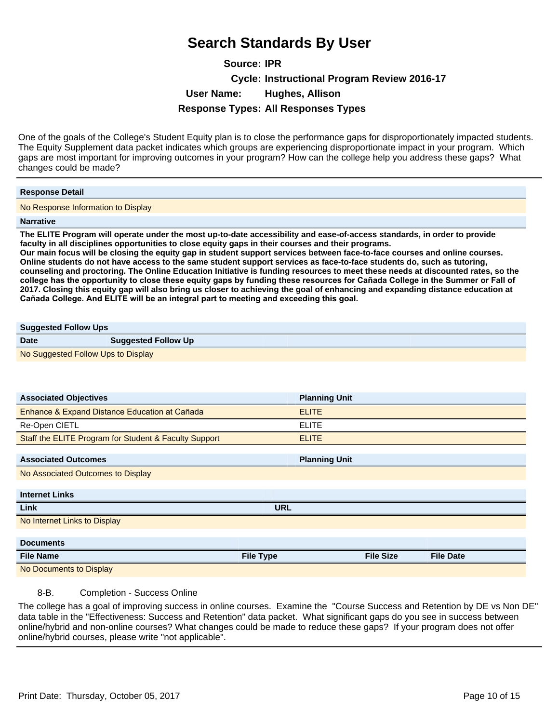**Source: IPR Cycle: Instructional Program Review 2016-17 User Name: Hughes, Allison Response Types: All Responses Types**

One of the goals of the College's Student Equity plan is to close the performance gaps for disproportionately impacted students. The Equity Supplement data packet indicates which groups are experiencing disproportionate impact in your program. Which gaps are most important for improving outcomes in your program? How can the college help you address these gaps? What changes could be made?

#### **Response Detail**

No Response Information to Display

#### **Narrative**

**The ELITE Program will operate under the most up-to-date accessibility and ease-of-access standards, in order to provide faculty in all disciplines opportunities to close equity gaps in their courses and their programs.**

**Our main focus will be closing the equity gap in student support services between face-to-face courses and online courses. Online students do not have access to the same student support services as face-to-face students do, such as tutoring, counseling and proctoring. The Online Education Initiative is funding resources to meet these needs at discounted rates, so the**  college has the opportunity to close these equity gaps by funding these resources for Cañada College in the Summer or Fall of **2017. Closing this equity gap will also bring us closer to achieving the goal of enhancing and expanding distance education at**  Cañada College. And ELITE will be an integral part to meeting and exceeding this goal.

## **Suggested Follow Ups**

| <b>Date</b>                        | <b>Suggested Follow Up</b> |
|------------------------------------|----------------------------|
| No Suggested Follow Ups to Display |                            |

| <b>Associated Objectives</b>                          |                  | <b>Planning Unit</b> |                  |                  |
|-------------------------------------------------------|------------------|----------------------|------------------|------------------|
| Enhance & Expand Distance Education at Cañada         |                  | <b>ELITE</b>         |                  |                  |
| Re-Open CIETL                                         |                  | <b>ELITE</b>         |                  |                  |
| Staff the ELITE Program for Student & Faculty Support |                  | <b>ELITE</b>         |                  |                  |
| <b>Associated Outcomes</b>                            |                  | <b>Planning Unit</b> |                  |                  |
| No Associated Outcomes to Display                     |                  |                      |                  |                  |
| <b>Internet Links</b>                                 |                  |                      |                  |                  |
| Link                                                  | <b>URL</b>       |                      |                  |                  |
| No Internet Links to Display                          |                  |                      |                  |                  |
|                                                       |                  |                      |                  |                  |
| <b>Documents</b>                                      |                  |                      |                  |                  |
| <b>File Name</b>                                      | <b>File Type</b> |                      | <b>File Size</b> | <b>File Date</b> |
| No Documents to Display                               |                  |                      |                  |                  |

#### 8-B. Completion - Success Online

The college has a goal of improving success in online courses. Examine the "Course Success and Retention by DE vs Non DE" data table in the "Effectiveness: Success and Retention" data packet. What significant gaps do you see in success between online/hybrid and non-online courses? What changes could be made to reduce these gaps? If your program does not offer online/hybrid courses, please write "not applicable".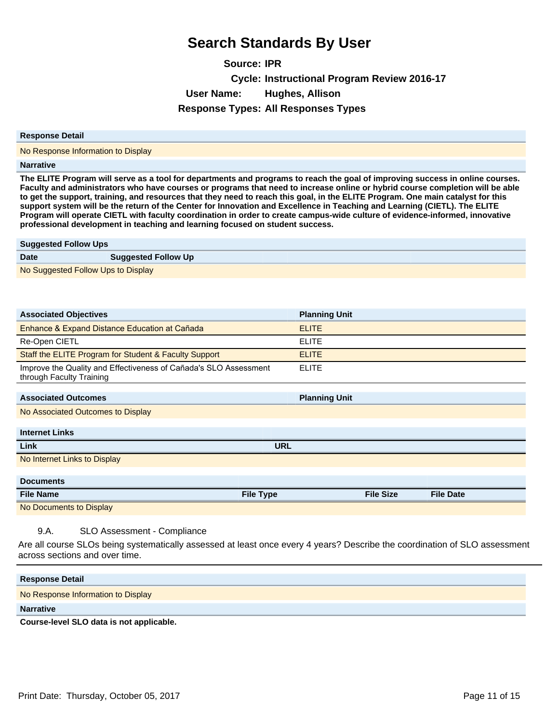**Source: IPR Cycle: Instructional Program Review 2016-17 User Name: Hughes, Allison Response Types: All Responses Types**

#### **Response Detail**

No Response Information to Display

#### **Narrative**

**The ELITE Program will serve as a tool for departments and programs to reach the goal of improving success in online courses. Faculty and administrators who have courses or programs that need to increase online or hybrid course completion will be able to get the support, training, and resources that they need to reach this goal, in the ELITE Program. One main catalyst for this support system will be the return of the Center for Innovation and Excellence in Teaching and Learning (CIETL). The ELITE Program will operate CIETL with faculty coordination in order to create campus-wide culture of evidence-informed, innovative professional development in teaching and learning focused on student success.**

| <b>Suggested Follow Ups</b>        |                            |
|------------------------------------|----------------------------|
| <b>Date</b>                        | <b>Suggested Follow Up</b> |
| No Suggested Follow Ups to Display |                            |

| <b>Associated Objectives</b>                                                                 | <b>Planning Unit</b> |                  |                  |
|----------------------------------------------------------------------------------------------|----------------------|------------------|------------------|
| Enhance & Expand Distance Education at Cañada                                                | <b>ELITE</b>         |                  |                  |
| Re-Open CIETL                                                                                | <b>ELITE</b>         |                  |                  |
| Staff the ELITE Program for Student & Faculty Support                                        | <b>ELITE</b>         |                  |                  |
| Improve the Quality and Effectiveness of Cañada's SLO Assessment<br>through Faculty Training | <b>ELITE</b>         |                  |                  |
| <b>Associated Outcomes</b>                                                                   | <b>Planning Unit</b> |                  |                  |
| No Associated Outcomes to Display                                                            |                      |                  |                  |
|                                                                                              |                      |                  |                  |
| <b>Internet Links</b>                                                                        |                      |                  |                  |
| Link                                                                                         | <b>URL</b>           |                  |                  |
| No Internet Links to Display                                                                 |                      |                  |                  |
|                                                                                              |                      |                  |                  |
| <b>Documents</b>                                                                             |                      |                  |                  |
| <b>File Name</b>                                                                             | <b>File Type</b>     | <b>File Size</b> | <b>File Date</b> |
| No Documents to Display                                                                      |                      |                  |                  |
|                                                                                              |                      |                  |                  |

9.A. SLO Assessment - Compliance

Are all course SLOs being systematically assessed at least once every 4 years? Describe the coordination of SLO assessment across sections and over time.

| <b>Response Detail</b>             |
|------------------------------------|
| No Response Information to Display |
| <b>Narrative</b>                   |
|                                    |

**Course-level SLO data is not applicable.**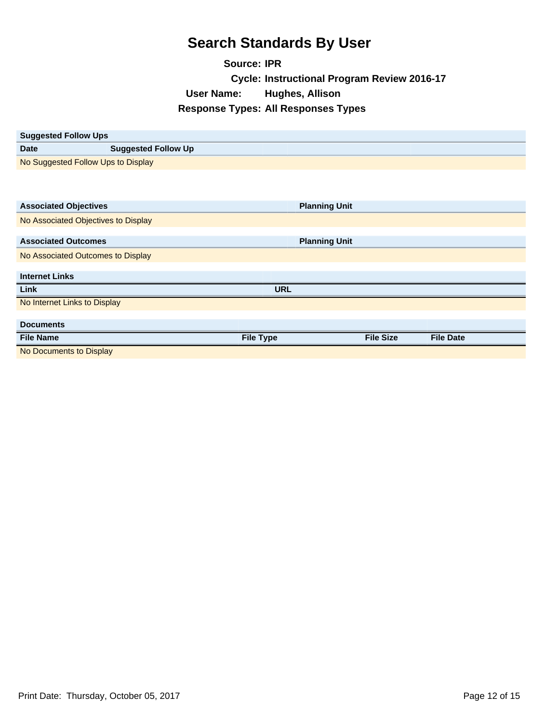**Source: IPR Cycle: Instructional Program Review 2016-17 User Name: Hughes, Allison Response Types: All Responses Types**

| <b>Suggested Follow Ups</b>         |                            |                  |                      |                  |  |
|-------------------------------------|----------------------------|------------------|----------------------|------------------|--|
| <b>Date</b>                         | <b>Suggested Follow Up</b> |                  |                      |                  |  |
| No Suggested Follow Ups to Display  |                            |                  |                      |                  |  |
|                                     |                            |                  |                      |                  |  |
|                                     |                            |                  |                      |                  |  |
| <b>Associated Objectives</b>        |                            |                  | <b>Planning Unit</b> |                  |  |
| No Associated Objectives to Display |                            |                  |                      |                  |  |
|                                     |                            |                  |                      |                  |  |
| <b>Associated Outcomes</b>          |                            |                  | <b>Planning Unit</b> |                  |  |
| No Associated Outcomes to Display   |                            |                  |                      |                  |  |
|                                     |                            |                  |                      |                  |  |
| <b>Internet Links</b>               |                            |                  |                      |                  |  |
| Link                                |                            | <b>URL</b>       |                      |                  |  |
| No Internet Links to Display        |                            |                  |                      |                  |  |
|                                     |                            |                  |                      |                  |  |
| <b>Documents</b>                    |                            |                  |                      |                  |  |
| <b>File Name</b>                    |                            | <b>File Type</b> | <b>File Size</b>     | <b>File Date</b> |  |
| No Documents to Display             |                            |                  |                      |                  |  |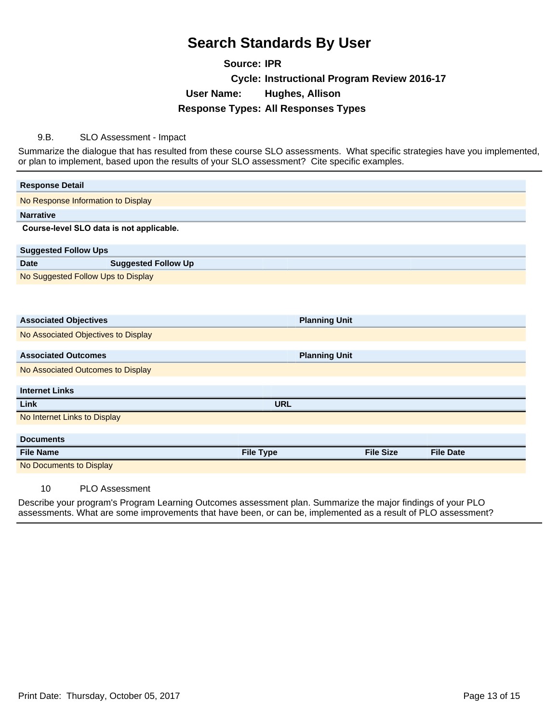**Source: IPR Cycle: Instructional Program Review 2016-17 User Name: Hughes, Allison Response Types: All Responses Types**

9.B. SLO Assessment - Impact

Summarize the dialogue that has resulted from these course SLO assessments. What specific strategies have you implemented, or plan to implement, based upon the results of your SLO assessment? Cite specific examples.

| <b>Response Detail</b>                                                                                                                                                                                                                                                                                                                                                               |                            |                  |                      |                  |                  |
|--------------------------------------------------------------------------------------------------------------------------------------------------------------------------------------------------------------------------------------------------------------------------------------------------------------------------------------------------------------------------------------|----------------------------|------------------|----------------------|------------------|------------------|
| No Response Information to Display                                                                                                                                                                                                                                                                                                                                                   |                            |                  |                      |                  |                  |
| <b>Narrative</b>                                                                                                                                                                                                                                                                                                                                                                     |                            |                  |                      |                  |                  |
| Course-level SLO data is not applicable.                                                                                                                                                                                                                                                                                                                                             |                            |                  |                      |                  |                  |
| <b>Suggested Follow Ups</b>                                                                                                                                                                                                                                                                                                                                                          |                            |                  |                      |                  |                  |
| <b>Date</b>                                                                                                                                                                                                                                                                                                                                                                          | <b>Suggested Follow Up</b> |                  |                      |                  |                  |
| No Suggested Follow Ups to Display                                                                                                                                                                                                                                                                                                                                                   |                            |                  |                      |                  |                  |
|                                                                                                                                                                                                                                                                                                                                                                                      |                            |                  |                      |                  |                  |
|                                                                                                                                                                                                                                                                                                                                                                                      |                            |                  |                      |                  |                  |
| <b>Associated Objectives</b>                                                                                                                                                                                                                                                                                                                                                         |                            |                  | <b>Planning Unit</b> |                  |                  |
| No Associated Objectives to Display                                                                                                                                                                                                                                                                                                                                                  |                            |                  |                      |                  |                  |
| <b>Associated Outcomes</b>                                                                                                                                                                                                                                                                                                                                                           |                            |                  | <b>Planning Unit</b> |                  |                  |
| No Associated Outcomes to Display                                                                                                                                                                                                                                                                                                                                                    |                            |                  |                      |                  |                  |
|                                                                                                                                                                                                                                                                                                                                                                                      |                            |                  |                      |                  |                  |
| <b>Internet Links</b>                                                                                                                                                                                                                                                                                                                                                                |                            |                  |                      |                  |                  |
| Link                                                                                                                                                                                                                                                                                                                                                                                 |                            | <b>URL</b>       |                      |                  |                  |
| No Internet Links to Display                                                                                                                                                                                                                                                                                                                                                         |                            |                  |                      |                  |                  |
| <b>Documents</b>                                                                                                                                                                                                                                                                                                                                                                     |                            |                  |                      |                  |                  |
| <b>File Name</b>                                                                                                                                                                                                                                                                                                                                                                     |                            | <b>File Type</b> |                      | <b>File Size</b> | <b>File Date</b> |
| No Documents to Display                                                                                                                                                                                                                                                                                                                                                              |                            |                  |                      |                  |                  |
| $\overline{A}$ $\overline{A}$ $\overline{A}$ $\overline{A}$ $\overline{A}$ $\overline{A}$ $\overline{A}$ $\overline{A}$ $\overline{A}$ $\overline{A}$ $\overline{A}$ $\overline{A}$ $\overline{A}$ $\overline{A}$ $\overline{A}$ $\overline{A}$ $\overline{A}$ $\overline{A}$ $\overline{A}$ $\overline{A}$ $\overline{A}$ $\overline{A}$ $\overline{A}$ $\overline{A}$ $\overline{$ |                            |                  |                      |                  |                  |

10 PLO Assessment

Describe your program's Program Learning Outcomes assessment plan. Summarize the major findings of your PLO assessments. What are some improvements that have been, or can be, implemented as a result of PLO assessment?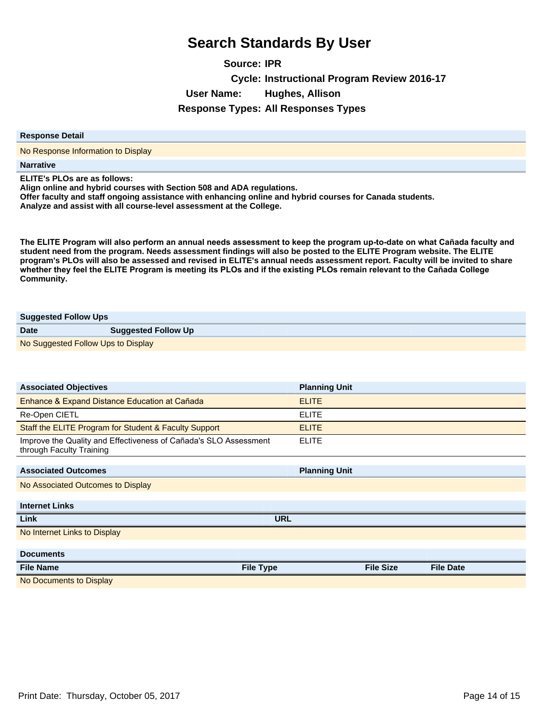**Source: IPR Cycle: Instructional Program Review 2016-17 User Name: Hughes, Allison Response Types: All Responses Types**

#### **Response Detail**

No Response Information to Display

**Narrative**

**ELITE's PLOs are as follows:**

**Align online and hybrid courses with Section 508 and ADA regulations.**

**Offer faculty and staff ongoing assistance with enhancing online and hybrid courses for Canada students. Analyze and assist with all course-level assessment at the College.**

The ELITE Program will also perform an annual needs assessment to keep the program up-to-date on what Cañada faculty and **student need from the program. Needs assessment findings will also be posted to the ELITE Program website. The ELITE program's PLOs will also be assessed and revised in ELITE's annual needs assessment report. Faculty will be invited to share**  whether they feel the ELITE Program is meeting its PLOs and if the existing PLOs remain relevant to the Cañada College **Community.**

| <b>Suggested Follow Ups</b>        |                            |  |
|------------------------------------|----------------------------|--|
| <b>Date</b>                        | <b>Suggested Follow Up</b> |  |
| No Suggested Follow Ups to Display |                            |  |

| <b>Associated Objectives</b>                                                                 | <b>Planning Unit</b> |                  |                  |
|----------------------------------------------------------------------------------------------|----------------------|------------------|------------------|
| Enhance & Expand Distance Education at Cañada                                                | <b>ELITE</b>         |                  |                  |
| Re-Open CIETL                                                                                | <b>ELITE</b>         |                  |                  |
| Staff the ELITE Program for Student & Faculty Support                                        | <b>ELITE</b>         |                  |                  |
| Improve the Quality and Effectiveness of Cañada's SLO Assessment<br>through Faculty Training | <b>ELITE</b>         |                  |                  |
|                                                                                              |                      |                  |                  |
| <b>Associated Outcomes</b>                                                                   | <b>Planning Unit</b> |                  |                  |
| No Associated Outcomes to Display                                                            |                      |                  |                  |
|                                                                                              |                      |                  |                  |
| <b>Internet Links</b>                                                                        |                      |                  |                  |
| Link                                                                                         | <b>URL</b>           |                  |                  |
| No Internet Links to Display                                                                 |                      |                  |                  |
|                                                                                              |                      |                  |                  |
| <b>Documents</b>                                                                             |                      |                  |                  |
| <b>File Name</b><br><b>File Type</b>                                                         |                      | <b>File Size</b> | <b>File Date</b> |
| No Documents to Display                                                                      |                      |                  |                  |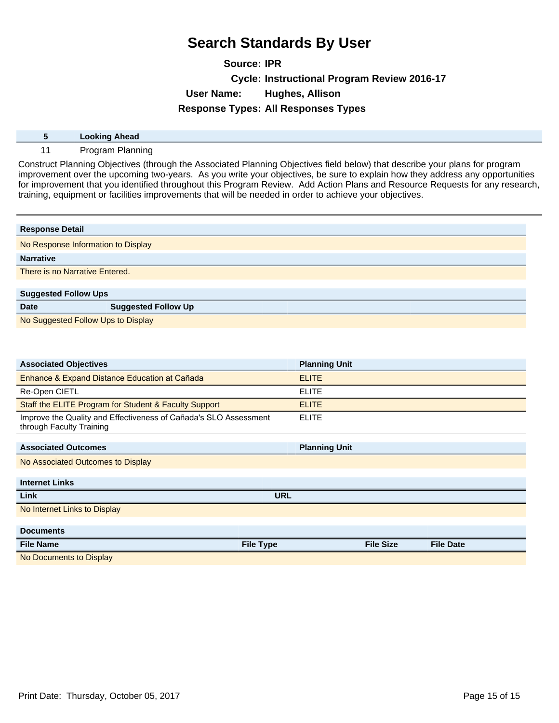**Source: IPR Cycle: Instructional Program Review 2016-17 User Name: Hughes, Allison Response Types: All Responses Types**

| <b>Looking Ahead</b> |
|----------------------|
| Program<br>Planning  |

Construct Planning Objectives (through the Associated Planning Objectives field below) that describe your plans for program improvement over the upcoming two-years. As you write your objectives, be sure to explain how they address any opportunities for improvement that you identified throughout this Program Review. Add Action Plans and Resource Requests for any research, training, equipment or facilities improvements that will be needed in order to achieve your objectives.

| <b>Response Detail</b>             |                            |  |  |
|------------------------------------|----------------------------|--|--|
| No Response Information to Display |                            |  |  |
| <b>Narrative</b>                   |                            |  |  |
| There is no Narrative Entered.     |                            |  |  |
|                                    |                            |  |  |
| <b>Suggested Follow Ups</b>        |                            |  |  |
| <b>Date</b>                        | <b>Suggested Follow Up</b> |  |  |
| No Suggested Follow Ups to Display |                            |  |  |

| <b>Associated Objectives</b>                                                                 | <b>Planning Unit</b>                 |
|----------------------------------------------------------------------------------------------|--------------------------------------|
| Enhance & Expand Distance Education at Cañada                                                | <b>ELITE</b>                         |
| Re-Open CIETL                                                                                | <b>ELITE</b>                         |
| Staff the ELITE Program for Student & Faculty Support                                        | <b>ELITE</b>                         |
| Improve the Quality and Effectiveness of Cañada's SLO Assessment<br>through Faculty Training | <b>ELITE</b>                         |
|                                                                                              |                                      |
| <b>Associated Outcomes</b>                                                                   | <b>Planning Unit</b>                 |
| No Associated Outcomes to Display                                                            |                                      |
|                                                                                              |                                      |
| <b>Internet Links</b>                                                                        |                                      |
| Link                                                                                         | <b>URL</b>                           |
| No Internet Links to Display                                                                 |                                      |
|                                                                                              |                                      |
| <b>Documents</b>                                                                             |                                      |
| <b>File Type</b><br><b>File Name</b>                                                         | <b>File Size</b><br><b>File Date</b> |
| No Documents to Display                                                                      |                                      |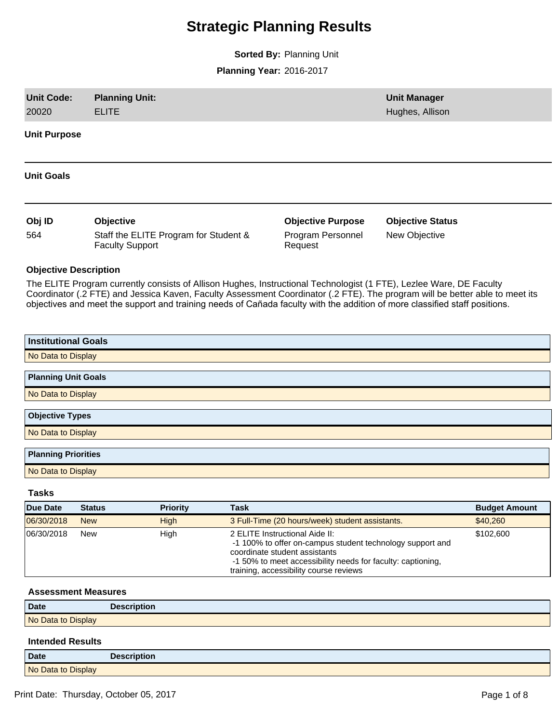# **Strategic Planning Results**

**Sorted By:** Planning Unit

**Planning Year:** 2016-2017

| <b>Unit Code:</b><br>20020   | <b>Planning Unit:</b><br><b>ELITE</b> |                                       |             |                                                                                                                                                                                                                                                                                                                                                                                   | <b>Unit Manager</b><br>Hughes, Allison |                      |
|------------------------------|---------------------------------------|---------------------------------------|-------------|-----------------------------------------------------------------------------------------------------------------------------------------------------------------------------------------------------------------------------------------------------------------------------------------------------------------------------------------------------------------------------------|----------------------------------------|----------------------|
| <b>Unit Purpose</b>          |                                       |                                       |             |                                                                                                                                                                                                                                                                                                                                                                                   |                                        |                      |
| <b>Unit Goals</b>            |                                       |                                       |             |                                                                                                                                                                                                                                                                                                                                                                                   |                                        |                      |
| Obj ID                       | Objective                             |                                       |             | <b>Objective Purpose</b>                                                                                                                                                                                                                                                                                                                                                          | <b>Objective Status</b>                |                      |
| 564                          | <b>Faculty Support</b>                | Staff the ELITE Program for Student & |             | Program Personnel<br>Request                                                                                                                                                                                                                                                                                                                                                      | New Objective                          |                      |
| <b>Objective Description</b> |                                       |                                       |             |                                                                                                                                                                                                                                                                                                                                                                                   |                                        |                      |
|                              |                                       |                                       |             | The ELITE Program currently consists of Allison Hughes, Instructional Technologist (1 FTE), Lezlee Ware, DE Faculty<br>Coordinator (.2 FTE) and Jessica Kaven, Faculty Assessment Coordinator (.2 FTE). The program will be better able to meet its<br>objectives and meet the support and training needs of Cañada faculty with the addition of more classified staff positions. |                                        |                      |
| <b>Institutional Goals</b>   |                                       |                                       |             |                                                                                                                                                                                                                                                                                                                                                                                   |                                        |                      |
| No Data to Display           |                                       |                                       |             |                                                                                                                                                                                                                                                                                                                                                                                   |                                        |                      |
| <b>Planning Unit Goals</b>   |                                       |                                       |             |                                                                                                                                                                                                                                                                                                                                                                                   |                                        |                      |
| No Data to Display           |                                       |                                       |             |                                                                                                                                                                                                                                                                                                                                                                                   |                                        |                      |
|                              |                                       |                                       |             |                                                                                                                                                                                                                                                                                                                                                                                   |                                        |                      |
| <b>Objective Types</b>       |                                       |                                       |             |                                                                                                                                                                                                                                                                                                                                                                                   |                                        |                      |
| No Data to Display           |                                       |                                       |             |                                                                                                                                                                                                                                                                                                                                                                                   |                                        |                      |
| <b>Planning Priorities</b>   |                                       |                                       |             |                                                                                                                                                                                                                                                                                                                                                                                   |                                        |                      |
| No Data to Display           |                                       |                                       |             |                                                                                                                                                                                                                                                                                                                                                                                   |                                        |                      |
| <b>Tasks</b>                 |                                       |                                       |             |                                                                                                                                                                                                                                                                                                                                                                                   |                                        |                      |
| <b>Due Date</b>              | <b>Status</b>                         | <b>Priority</b>                       | <b>Task</b> |                                                                                                                                                                                                                                                                                                                                                                                   |                                        | <b>Budget Amount</b> |
| 06/30/2018                   | <b>New</b>                            | <b>High</b>                           |             | 3 Full-Time (20 hours/week) student assistants.                                                                                                                                                                                                                                                                                                                                   |                                        | \$40,260             |
| 06/30/2018                   | New                                   | High                                  |             | 2 ELITE Instructional Aide II:<br>-1 100% to offer on-campus student technology support and<br>coordinate student assistants<br>-1 50% to meet accessibility needs for faculty: captioning,<br>training, accessibility course reviews                                                                                                                                             |                                        | \$102,600            |
| <b>Assessment Measures</b>   |                                       |                                       |             |                                                                                                                                                                                                                                                                                                                                                                                   |                                        |                      |
| <b>Date</b>                  | <b>Description</b>                    |                                       |             |                                                                                                                                                                                                                                                                                                                                                                                   |                                        |                      |
|                              |                                       |                                       |             |                                                                                                                                                                                                                                                                                                                                                                                   |                                        |                      |

No Data to Display

### **Intended Results**

| <b>Date</b>        | <b>Description</b> |
|--------------------|--------------------|
| No Data to Display |                    |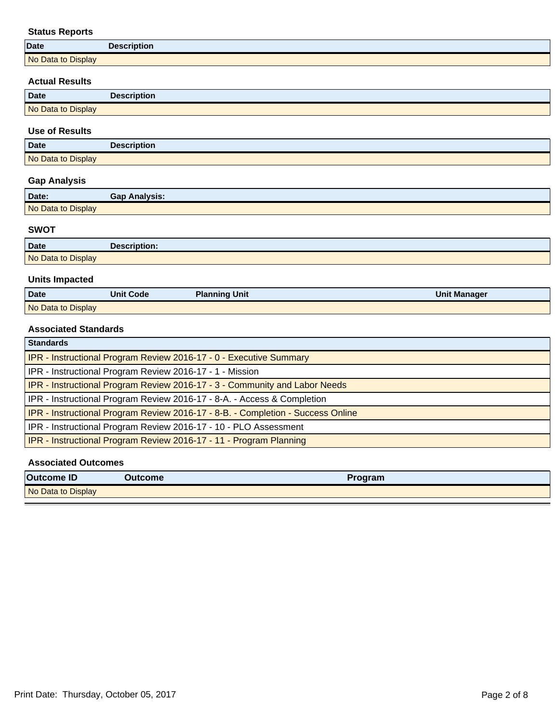## **Status Reports**

| <b>Date</b>        | <b>Description</b> |
|--------------------|--------------------|
| No Data to Display |                    |

### **Actual Results**

| <b>Date</b>        | <b>Description</b> |
|--------------------|--------------------|
| No Data to Display |                    |
|                    |                    |

### **Use of Results**

| <b>Date</b>        | <b>Description</b> |
|--------------------|--------------------|
| No Data to Display |                    |

## **Gap Analysis**

| Date:              | <b>Gap Analysis:</b> |
|--------------------|----------------------|
| No Data to Display |                      |

### **SWOT**

| <b>Date</b>        | Description: |
|--------------------|--------------|
| No Data to Display |              |

## **Units Impacted**

| Date               | <b>Unit Code</b> | <b>Planning Unit</b> | <b>Unit Manager</b> |
|--------------------|------------------|----------------------|---------------------|
| No Data to Display |                  |                      |                     |

### **Associated Standards**

| <b>Standards</b>                                                                |
|---------------------------------------------------------------------------------|
| IPR - Instructional Program Review 2016-17 - 0 - Executive Summary              |
| IPR - Instructional Program Review 2016-17 - 1 - Mission                        |
| IPR - Instructional Program Review 2016-17 - 3 - Community and Labor Needs      |
| IPR - Instructional Program Review 2016-17 - 8-A. - Access & Completion         |
| IPR - Instructional Program Review 2016-17 - 8-B. - Completion - Success Online |
| IPR - Instructional Program Review 2016-17 - 10 - PLO Assessment                |
| IPR - Instructional Program Review 2016-17 - 11 - Program Planning              |

### **Associated Outcomes**

| <b>Outcome ID</b>  | <b>Outcome</b> | <b>Program</b> |
|--------------------|----------------|----------------|
| No Data to Display |                |                |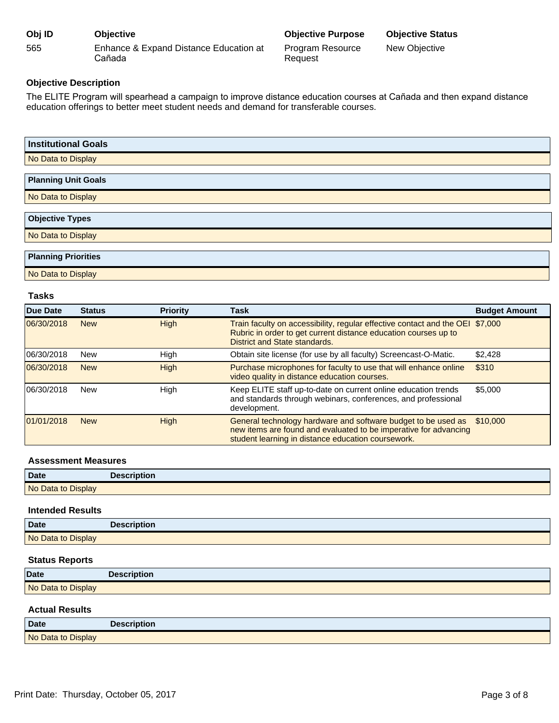| Obj ID | <b>Objective</b>                                 |
|--------|--------------------------------------------------|
| 565    | Enhance & Expand Distance Education at<br>Cañada |

Request

New Objective

### **Objective Description**

The ELITE Program will spearhead a campaign to improve distance education courses at Cañada and then expand distance education offerings to better meet student needs and demand for transferable courses.

| <b>Institutional Goals</b> |  |
|----------------------------|--|
| No Data to Display         |  |
| <b>Planning Unit Goals</b> |  |
| No Data to Display         |  |
| <b>Objective Types</b>     |  |
| No Data to Display         |  |
| <b>Planning Priorities</b> |  |

No Data to Display

### **Tasks**

| Due Date   | <b>Status</b> | <b>Priority</b> | <b>Task</b>                                                                                                                                                                             | <b>Budget Amount</b> |
|------------|---------------|-----------------|-----------------------------------------------------------------------------------------------------------------------------------------------------------------------------------------|----------------------|
| 06/30/2018 | <b>New</b>    | High            | Train faculty on accessibility, regular effective contact and the OEI \$7,000<br>Rubric in order to get current distance education courses up to<br>District and State standards.       |                      |
| 06/30/2018 | New           | High            | Obtain site license (for use by all faculty) Screencast-O-Matic.                                                                                                                        | \$2,428              |
| 06/30/2018 | <b>New</b>    | <b>High</b>     | Purchase microphones for faculty to use that will enhance online<br>video quality in distance education courses.                                                                        | \$310                |
| 06/30/2018 | <b>New</b>    | High            | Keep ELITE staff up-to-date on current online education trends<br>and standards through webinars, conferences, and professional<br>development.                                         | \$5,000              |
| 01/01/2018 | <b>New</b>    | <b>High</b>     | General technology hardware and software budget to be used as<br>new items are found and evaluated to be imperative for advancing<br>student learning in distance education coursework. | \$10,000             |

#### **Assessment Measures**

| Date               | <b>Description</b> |
|--------------------|--------------------|
| No Data to Display |                    |

#### **Intended Results**

| Date               | <b>Description</b> |
|--------------------|--------------------|
| No Data to Display |                    |

### **Status Reports**

| Date               | <b>Description</b> |
|--------------------|--------------------|
| No Data to Display |                    |

#### **Actual Results**

| Date               | <b>Description</b> |
|--------------------|--------------------|
| No Data to Display |                    |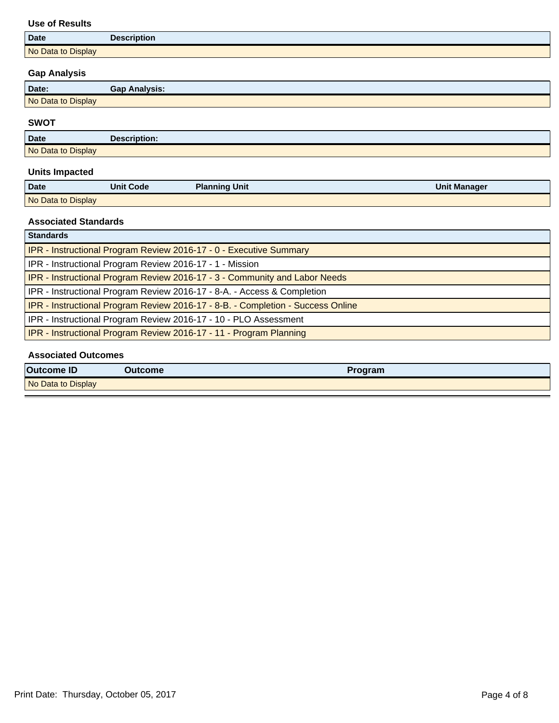### **Use of Results**

| <b>Date</b>        | <b>Description</b> |
|--------------------|--------------------|
| No Data to Display |                    |

## **Gap Analysis**

| Date:              | <b>Gap Analysis:</b> |
|--------------------|----------------------|
| No Data to Display |                      |

### **SWOT**

| <b>Date</b>        | ascription.<br><b>Desu</b> |
|--------------------|----------------------------|
| No Data to Display |                            |

## **Units Impacted**

| <b>Date</b>        | Unit Code | <b>Planning Unit</b> | <b>Unit Manager</b> |
|--------------------|-----------|----------------------|---------------------|
| No Data to Display |           |                      |                     |

## **Associated Standards**

| <b>Standards</b>                                                                |
|---------------------------------------------------------------------------------|
| IPR - Instructional Program Review 2016-17 - 0 - Executive Summary              |
| IPR - Instructional Program Review 2016-17 - 1 - Mission                        |
| IPR - Instructional Program Review 2016-17 - 3 - Community and Labor Needs      |
| IPR - Instructional Program Review 2016-17 - 8-A. - Access & Completion         |
| IPR - Instructional Program Review 2016-17 - 8-B. - Completion - Success Online |
| IPR - Instructional Program Review 2016-17 - 10 - PLO Assessment                |
| IPR - Instructional Program Review 2016-17 - 11 - Program Planning              |
|                                                                                 |

### **Associated Outcomes**

| <b>Outcome ID</b>  | <b>Outcome</b> | <b>Program</b> |
|--------------------|----------------|----------------|
| No Data to Display |                |                |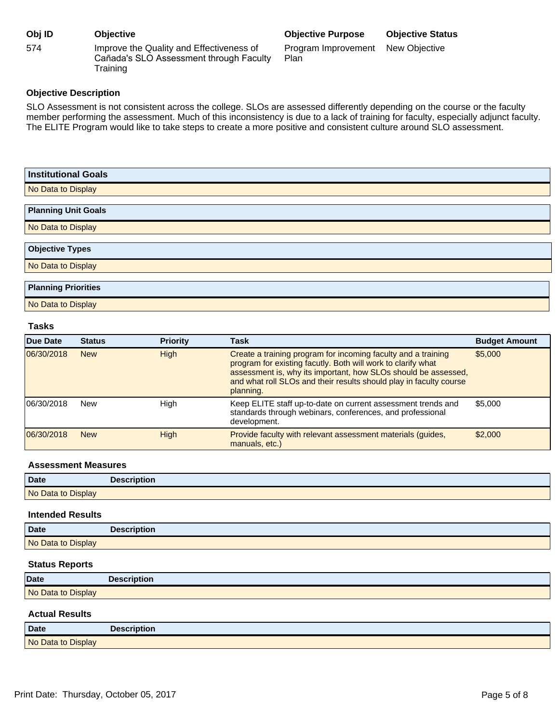| Obj ID | <b>Objective</b>                                                                                |
|--------|-------------------------------------------------------------------------------------------------|
| 574    | Improve the Quality and Effectiveness of<br>Cañada's SLO Assessment through Faculty<br>Training |

### **Obj ID Objective Objective Purpose Objective Status**

Program Improvement Plan New Objective

**Objective Description**

SLO Assessment is not consistent across the college. SLOs are assessed differently depending on the course or the faculty member performing the assessment. Much of this inconsistency is due to a lack of training for faculty, especially adjunct faculty. The ELITE Program would like to take steps to create a more positive and consistent culture around SLO assessment.

| <b>Institutional Goals</b> |
|----------------------------|
| No Data to Display         |
| <b>Planning Unit Goals</b> |
|                            |
| No Data to Display         |
|                            |
| <b>Objective Types</b>     |
| No Data to Display         |
|                            |
| <b>Planning Priorities</b> |
| No Data to Display         |

#### **Tasks**

| Due Date   | <b>Status</b> | <b>Priority</b> | <b>Task</b>                                                                                                                                                                                                                                                                        | <b>Budget Amount</b> |
|------------|---------------|-----------------|------------------------------------------------------------------------------------------------------------------------------------------------------------------------------------------------------------------------------------------------------------------------------------|----------------------|
| 06/30/2018 | <b>New</b>    | <b>High</b>     | Create a training program for incoming faculty and a training<br>program for existing facutly. Both will work to clarify what<br>assessment is, why its important, how SLOs should be assessed,<br>and what roll SLOs and their results should play in faculty course<br>planning. | \$5,000              |
| 06/30/2018 | <b>New</b>    | High            | Keep ELITE staff up-to-date on current assessment trends and<br>standards through webinars, conferences, and professional<br>development.                                                                                                                                          | \$5,000              |
| 06/30/2018 | <b>New</b>    | High            | Provide faculty with relevant assessment materials (quides,<br>manuals, etc.)                                                                                                                                                                                                      | \$2,000              |

#### **Assessment Measures**

| <b>Date</b>        | <b>Description</b> |
|--------------------|--------------------|
| No Data to Display |                    |

### **Intended Results**

| Date               | <b>Description</b> |
|--------------------|--------------------|
| No Data to Display |                    |

#### **Status Reports**

| <b>Date</b>        | <b>Description</b> |
|--------------------|--------------------|
| No Data to Display |                    |

#### **Actual Results**

| <b>Date</b>        | <b>Description</b> |
|--------------------|--------------------|
| No Data to Display |                    |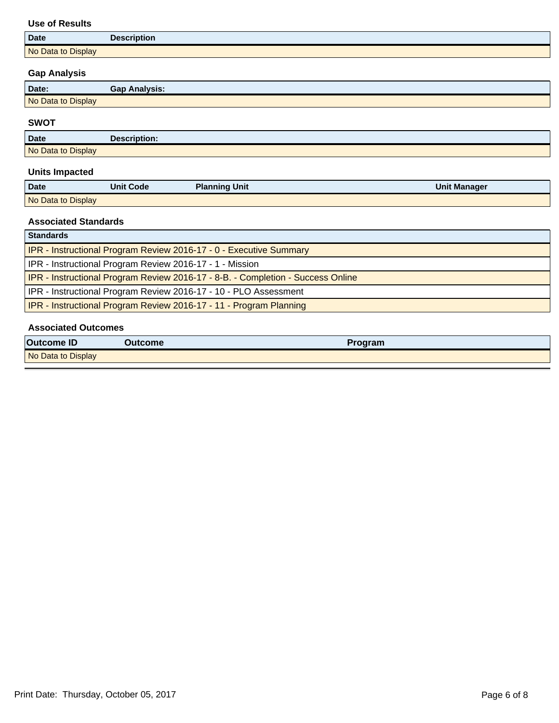### **Use of Results**

| <b>Date</b>        | <b>Description</b> |
|--------------------|--------------------|
| No Data to Display |                    |

## **Gap Analysis**

| Date:              | <b>Gap Analysis:</b> |
|--------------------|----------------------|
| No Data to Display |                      |

### **SWOT**

| <b>Date</b>        | Decerintion:<br>"Otion |
|--------------------|------------------------|
| No Data to Display |                        |

## **Units Impacted**

| <b>Date</b>        | <b>Unit Code</b> | <b>Planning Unit</b> | <b>Unit Manager</b> |
|--------------------|------------------|----------------------|---------------------|
| No Data to Display |                  |                      |                     |

## **Associated Standards**

| <b>Standards</b>                                                                |  |
|---------------------------------------------------------------------------------|--|
| <b>IPR - Instructional Program Review 2016-17 - 0 - Executive Summary</b>       |  |
| IPR - Instructional Program Review 2016-17 - 1 - Mission                        |  |
| IPR - Instructional Program Review 2016-17 - 8-B. - Completion - Success Online |  |
| IPR - Instructional Program Review 2016-17 - 10 - PLO Assessment                |  |
| <b>IPR</b> - Instructional Program Review 2016-17 - 11 - Program Planning       |  |

### **Associated Outcomes**

| <b>Outcome ID</b>  | <b>Outcome</b> | <b>Program</b> |
|--------------------|----------------|----------------|
| No Data to Display |                |                |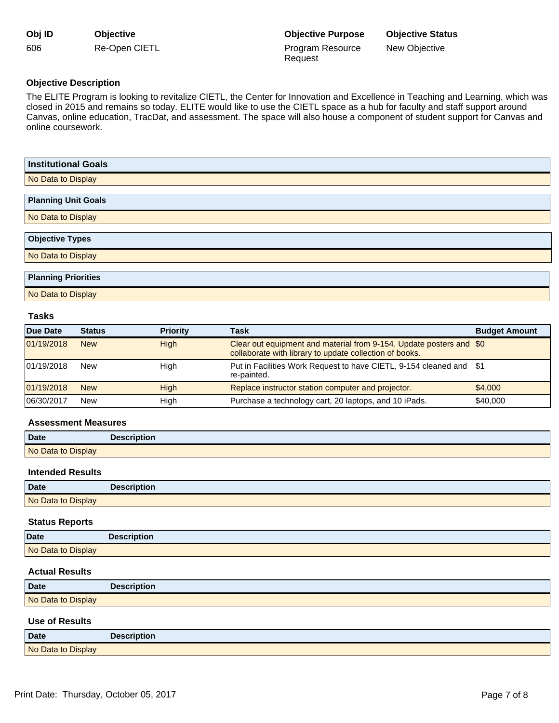| Obj ID | <b>Objective</b> |
|--------|------------------|
| 606    | Re-Open CIETL    |

## **Objective Description**

The ELITE Program is looking to revitalize CIETL, the Center for Innovation and Excellence in Teaching and Learning, which was closed in 2015 and remains so today. ELITE would like to use the CIETL space as a hub for faculty and staff support around Canvas, online education, TracDat, and assessment. The space will also house a component of student support for Canvas and online coursework.

Request

| <b>Institutional Goals</b> |
|----------------------------|
| No Data to Display         |
| <b>Planning Unit Goals</b> |
| No Data to Display         |
| <b>Objective Types</b>     |
| No Data to Display         |
| <b>Planning Priorities</b> |

No Data to Display

### **Tasks**

| Due Date   | <b>Status</b> | <b>Priority</b> | <b>Task</b>                                                                                                                    | <b>Budget Amount</b> |
|------------|---------------|-----------------|--------------------------------------------------------------------------------------------------------------------------------|----------------------|
| 01/19/2018 | <b>New</b>    | <b>High</b>     | Clear out equipment and material from 9-154. Update posters and \$0<br>collaborate with library to update collection of books. |                      |
| 01/19/2018 | <b>New</b>    | High            | Put in Facilities Work Request to have CIETL, 9-154 cleaned and \$1<br>re-painted.                                             |                      |
| 01/19/2018 | <b>New</b>    | <b>High</b>     | Replace instructor station computer and projector.                                                                             | \$4,000              |
| 06/30/2017 | <b>New</b>    | High            | Purchase a technology cart, 20 laptops, and 10 iPads.                                                                          | \$40,000             |

#### **Assessment Measures**

| Date               | <b>Description</b> |
|--------------------|--------------------|
| No Data to Display |                    |

#### **Intended Results**

| <b>Date</b>        | <b>Description</b> |
|--------------------|--------------------|
| No Data to Display |                    |

#### **Status Reports**

| Date               | <b>Description</b> |
|--------------------|--------------------|
| No Data to Display |                    |

### **Actual Results**

| <b>Date</b>        | <b>Description</b> |
|--------------------|--------------------|
| No Data to Display |                    |

#### **Use of Results**

| Date               | <b>Description</b> |
|--------------------|--------------------|
| No Data to Display |                    |